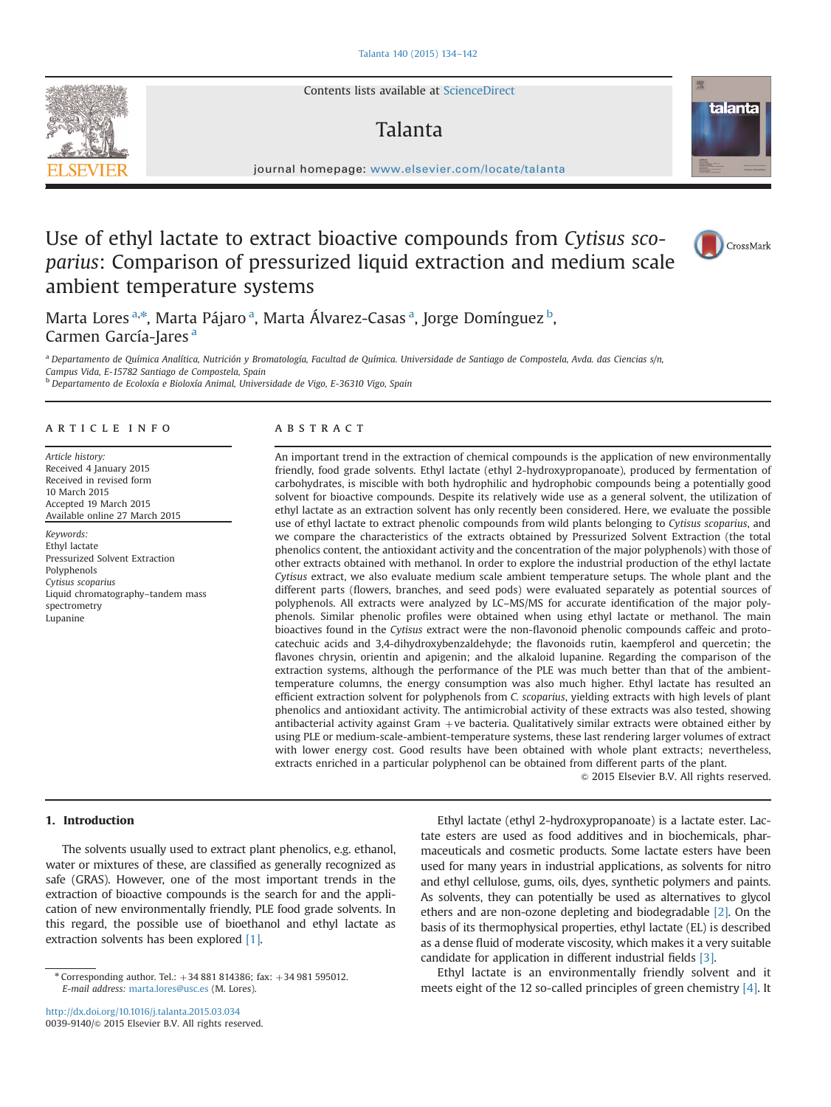Contents lists available at [ScienceDirect](www.sciencedirect.com/science/journal/00399140)

# Talanta

journal homepage: <www.elsevier.com/locate/talanta>

# Use of ethyl lactate to extract bioactive compounds from Cytisus scoparius: Comparison of pressurized liquid extraction and medium scale ambient temperature systems

Marta Lores <sup>a,\*</sup>, Marta Pájaro <sup>a</sup>, Marta Álvarez-Casas <sup>a</sup>, Jorge Domínguez <sup>b</sup>, Carmen García-Jares <sup>a</sup>

<sup>a</sup> Departamento de Química Analítica, Nutrición y Bromatología, Facultad de Química. Universidade de Santiago de Compostela, Avda. das Ciencias s/n,

Campus Vida, E-15782 Santiago de Compostela, Spain

<sup>b</sup> Departamento de Ecoloxía e Bioloxía Animal, Universidade de Vigo, E-36310 Vigo, Spain

## article info

Article history: Received 4 January 2015 Received in revised form 10 March 2015 Accepted 19 March 2015 Available online 27 March 2015

Keywords: Ethyl lactate Pressurized Solvent Extraction Polyphenols Cytisus scoparius Liquid chromatography–tandem mass spectrometry Lupanine

## **ABSTRACT**

An important trend in the extraction of chemical compounds is the application of new environmentally friendly, food grade solvents. Ethyl lactate (ethyl 2-hydroxypropanoate), produced by fermentation of carbohydrates, is miscible with both hydrophilic and hydrophobic compounds being a potentially good solvent for bioactive compounds. Despite its relatively wide use as a general solvent, the utilization of ethyl lactate as an extraction solvent has only recently been considered. Here, we evaluate the possible use of ethyl lactate to extract phenolic compounds from wild plants belonging to Cytisus scoparius, and we compare the characteristics of the extracts obtained by Pressurized Solvent Extraction (the total phenolics content, the antioxidant activity and the concentration of the major polyphenols) with those of other extracts obtained with methanol. In order to explore the industrial production of the ethyl lactate Cytisus extract, we also evaluate medium scale ambient temperature setups. The whole plant and the different parts (flowers, branches, and seed pods) were evaluated separately as potential sources of polyphenols. All extracts were analyzed by LC–MS/MS for accurate identification of the major polyphenols. Similar phenolic profiles were obtained when using ethyl lactate or methanol. The main bioactives found in the Cytisus extract were the non-flavonoid phenolic compounds caffeic and protocatechuic acids and 3,4-dihydroxybenzaldehyde; the flavonoids rutin, kaempferol and quercetin; the flavones chrysin, orientin and apigenin; and the alkaloid lupanine. Regarding the comparison of the extraction systems, although the performance of the PLE was much better than that of the ambienttemperature columns, the energy consumption was also much higher. Ethyl lactate has resulted an efficient extraction solvent for polyphenols from C. scoparius, yielding extracts with high levels of plant phenolics and antioxidant activity. The antimicrobial activity of these extracts was also tested, showing antibacterial activity against Gram  $+$ ve bacteria. Qualitatively similar extracts were obtained either by using PLE or medium-scale-ambient-temperature systems, these last rendering larger volumes of extract with lower energy cost. Good results have been obtained with whole plant extracts; nevertheless, extracts enriched in a particular polyphenol can be obtained from different parts of the plant.

 $\odot$  2015 Elsevier B.V. All rights reserved.

## 1. Introduction

The solvents usually used to extract plant phenolics, e.g. ethanol, water or mixtures of these, are classified as generally recognized as safe (GRAS). However, one of the most important trends in the extraction of bioactive compounds is the search for and the application of new environmentally friendly, PLE food grade solvents. In this regard, the possible use of bioethanol and ethyl lactate as extraction solvents has been explored [\[1\].](#page-7-0)

\* Corresponding author. Tel.:  $+34881814386$ ; fax:  $+34981595012$ . E-mail address: [marta.lores@usc.es](mailto:marta.lores@usc.es) (M. Lores).

<http://dx.doi.org/10.1016/j.talanta.2015.03.034> 0039-9140/& 2015 Elsevier B.V. All rights reserved.

Ethyl lactate (ethyl 2-hydroxypropanoate) is a lactate ester. Lactate esters are used as food additives and in biochemicals, pharmaceuticals and cosmetic products. Some lactate esters have been used for many years in industrial applications, as solvents for nitro and ethyl cellulose, gums, oils, dyes, synthetic polymers and paints. As solvents, they can potentially be used as alternatives to glycol ethers and are non-ozone depleting and biodegradable [\[2\]](#page-7-0). On the basis of its thermophysical properties, ethyl lactate (EL) is described as a dense fluid of moderate viscosity, which makes it a very suitable candidate for application in different industrial fields [\[3\].](#page-7-0)

Ethyl lactate is an environmentally friendly solvent and it meets eight of the 12 so-called principles of green chemistry [\[4\]](#page-7-0). It





CrossMark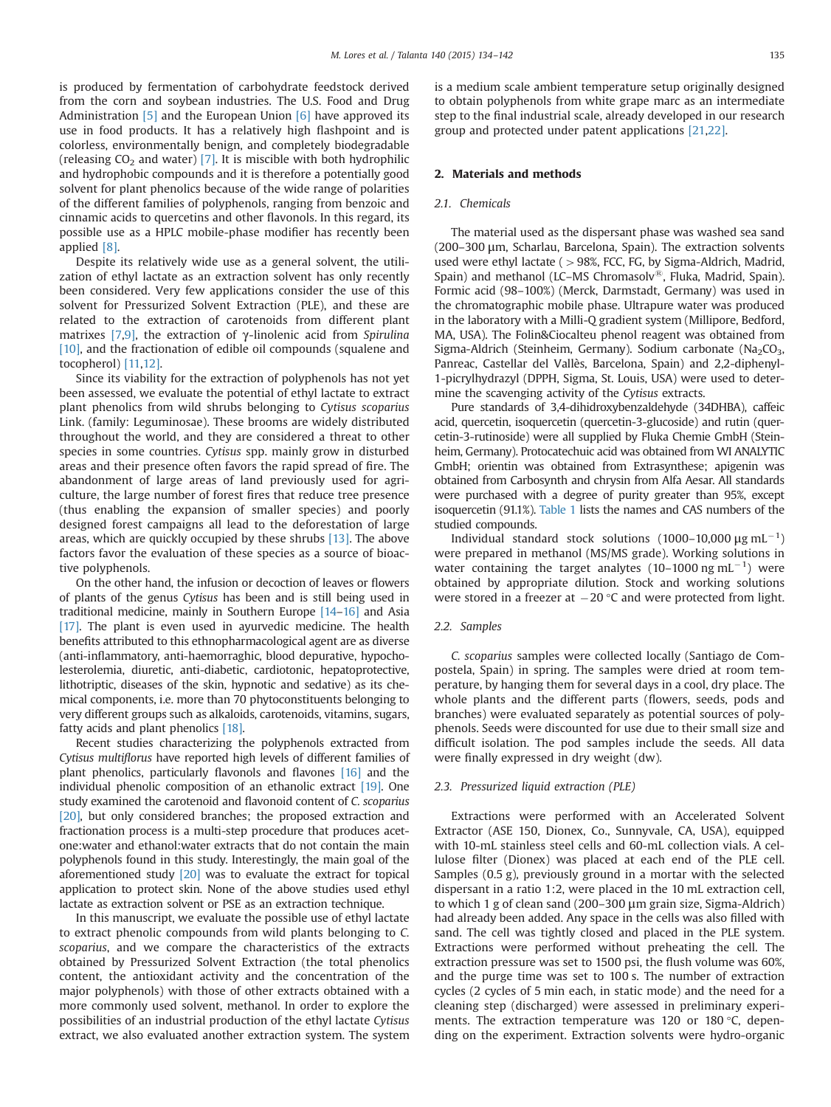<span id="page-1-0"></span>is produced by fermentation of carbohydrate feedstock derived from the corn and soybean industries. The U.S. Food and Drug Administration  $\overline{5}$  and the European Union  $\overline{6}$  have approved its use in food products. It has a relatively high flashpoint and is colorless, environmentally benign, and completely biodegradable (releasing  $CO<sub>2</sub>$  and water) [\[7\]](#page-7-0). It is miscible with both hydrophilic and hydrophobic compounds and it is therefore a potentially good solvent for plant phenolics because of the wide range of polarities of the different families of polyphenols, ranging from benzoic and cinnamic acids to quercetins and other flavonols. In this regard, its possible use as a HPLC mobile-phase modifier has recently been applied [\[8\]](#page-7-0).

Despite its relatively wide use as a general solvent, the utilization of ethyl lactate as an extraction solvent has only recently been considered. Very few applications consider the use of this solvent for Pressurized Solvent Extraction (PLE), and these are related to the extraction of carotenoids from different plant matrixes [\[7,9\]](#page-7-0), the extraction of γ-linolenic acid from Spirulina [\[10\]](#page-7-0), and the fractionation of edible oil compounds (squalene and tocopherol) [\[11,12\].](#page-7-0)

Since its viability for the extraction of polyphenols has not yet been assessed, we evaluate the potential of ethyl lactate to extract plant phenolics from wild shrubs belonging to Cytisus scoparius Link. (family: Leguminosae). These brooms are widely distributed throughout the world, and they are considered a threat to other species in some countries. Cytisus spp. mainly grow in disturbed areas and their presence often favors the rapid spread of fire. The abandonment of large areas of land previously used for agriculture, the large number of forest fires that reduce tree presence (thus enabling the expansion of smaller species) and poorly designed forest campaigns all lead to the deforestation of large areas, which are quickly occupied by these shrubs [\[13\]](#page-7-0). The above factors favor the evaluation of these species as a source of bioactive polyphenols.

On the other hand, the infusion or decoction of leaves or flowers of plants of the genus Cytisus has been and is still being used in traditional medicine, mainly in Southern Europe [\[14](#page-7-0)–[16\]](#page-7-0) and Asia [\[17\].](#page-7-0) The plant is even used in ayurvedic medicine. The health benefits attributed to this ethnopharmacological agent are as diverse (anti-inflammatory, anti-haemorraghic, blood depurative, hypocholesterolemia, diuretic, anti-diabetic, cardiotonic, hepatoprotective, lithotriptic, diseases of the skin, hypnotic and sedative) as its chemical components, i.e. more than 70 phytoconstituents belonging to very different groups such as alkaloids, carotenoids, vitamins, sugars, fatty acids and plant phenolics [\[18\].](#page-7-0)

Recent studies characterizing the polyphenols extracted from Cytisus multiflorus have reported high levels of different families of plant phenolics, particularly flavonols and flavones [\[16\]](#page-7-0) and the individual phenolic composition of an ethanolic extract [\[19\]](#page-7-0). One study examined the carotenoid and flavonoid content of C. scoparius [\[20\]](#page-7-0), but only considered branches; the proposed extraction and fractionation process is a multi-step procedure that produces acetone:water and ethanol:water extracts that do not contain the main polyphenols found in this study. Interestingly, the main goal of the aforementioned study [\[20\]](#page-7-0) was to evaluate the extract for topical application to protect skin. None of the above studies used ethyl lactate as extraction solvent or PSE as an extraction technique.

In this manuscript, we evaluate the possible use of ethyl lactate to extract phenolic compounds from wild plants belonging to C. scoparius, and we compare the characteristics of the extracts obtained by Pressurized Solvent Extraction (the total phenolics content, the antioxidant activity and the concentration of the major polyphenols) with those of other extracts obtained with a more commonly used solvent, methanol. In order to explore the possibilities of an industrial production of the ethyl lactate Cytisus extract, we also evaluated another extraction system. The system is a medium scale ambient temperature setup originally designed to obtain polyphenols from white grape marc as an intermediate step to the final industrial scale, already developed in our research group and protected under patent applications [\[21,22\].](#page-7-0)

### 2. Materials and methods

#### 2.1. Chemicals

The material used as the dispersant phase was washed sea sand (200–300 μm, Scharlau, Barcelona, Spain). The extraction solvents used were ethyl lactate ( $>98\%$ , FCC, FG, by Sigma-Aldrich, Madrid, Spain) and methanol (LC–MS Chromasolv®, Fluka, Madrid, Spain). Formic acid (98–100%) (Merck, Darmstadt, Germany) was used in the chromatographic mobile phase. Ultrapure water was produced in the laboratory with a Milli-Q gradient system (Millipore, Bedford, MA, USA). The Folin&Ciocalteu phenol reagent was obtained from Sigma-Aldrich (Steinheim, Germany). Sodium carbonate (Na<sub>2</sub>CO<sub>3</sub>, Panreac, Castellar del Vallès, Barcelona, Spain) and 2,2-diphenyl-1-picrylhydrazyl (DPPH, Sigma, St. Louis, USA) were used to determine the scavenging activity of the Cytisus extracts.

Pure standards of 3,4-dihidroxybenzaldehyde (34DHBA), caffeic acid, quercetin, isoquercetin (quercetin-3-glucoside) and rutin (quercetin-3-rutinoside) were all supplied by Fluka Chemie GmbH (Steinheim, Germany). Protocatechuic acid was obtained from WI ANALYTIC GmbH; orientin was obtained from Extrasynthese; apigenin was obtained from Carbosynth and chrysin from Alfa Aesar. All standards were purchased with a degree of purity greater than 95%, except isoquercetin (91.1%). [Table 1](#page-2-0) lists the names and CAS numbers of the studied compounds.

Individual standard stock solutions (1000–10,000  $\mu$ g mL<sup>-1</sup>) were prepared in methanol (MS/MS grade). Working solutions in water containing the target analytes  $(10-1000 \text{ ng } \text{mL}^{-1})$  were obtained by appropriate dilution. Stock and working solutions were stored in a freezer at  $-20$  °C and were protected from light.

#### 2.2. Samples

C. scoparius samples were collected locally (Santiago de Compostela, Spain) in spring. The samples were dried at room temperature, by hanging them for several days in a cool, dry place. The whole plants and the different parts (flowers, seeds, pods and branches) were evaluated separately as potential sources of polyphenols. Seeds were discounted for use due to their small size and difficult isolation. The pod samples include the seeds. All data were finally expressed in dry weight (dw).

### 2.3. Pressurized liquid extraction (PLE)

Extractions were performed with an Accelerated Solvent Extractor (ASE 150, Dionex, Co., Sunnyvale, CA, USA), equipped with 10-mL stainless steel cells and 60-mL collection vials. A cellulose filter (Dionex) was placed at each end of the PLE cell. Samples (0.5 g), previously ground in a mortar with the selected dispersant in a ratio 1:2, were placed in the 10 mL extraction cell, to which 1 g of clean sand (200–300 μm grain size, Sigma-Aldrich) had already been added. Any space in the cells was also filled with sand. The cell was tightly closed and placed in the PLE system. Extractions were performed without preheating the cell. The extraction pressure was set to 1500 psi, the flush volume was 60%, and the purge time was set to 100 s. The number of extraction cycles (2 cycles of 5 min each, in static mode) and the need for a cleaning step (discharged) were assessed in preliminary experiments. The extraction temperature was 120 or 180 °C, depending on the experiment. Extraction solvents were hydro-organic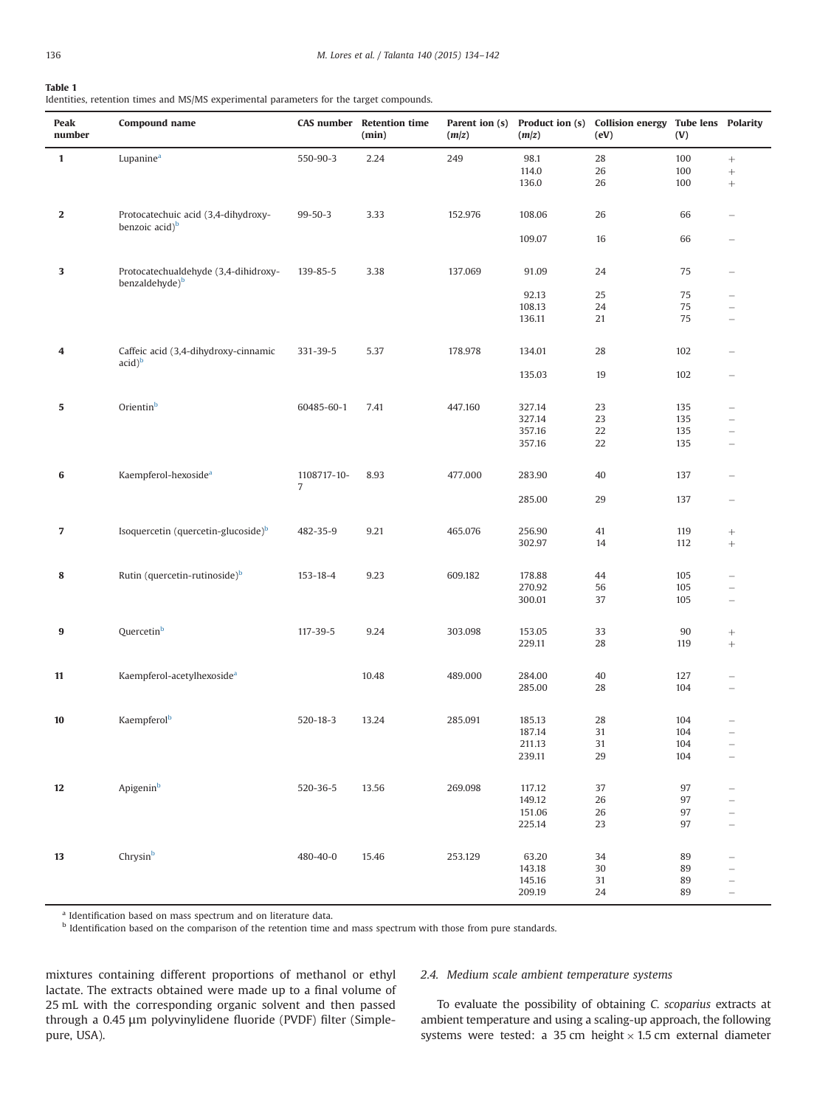## <span id="page-2-0"></span>Table 1

Identities, retention times and MS/MS experimental parameters for the target compounds.

| Peak<br>number | Compound name                                                      |                  | <b>CAS number</b> Retention time<br>(min) | Parent ion (s)<br>(m/z) | (m/z)                  | Product ion (s) Collision energy Tube lens Polarity<br>(eV) | (V)               |                                                       |
|----------------|--------------------------------------------------------------------|------------------|-------------------------------------------|-------------------------|------------------------|-------------------------------------------------------------|-------------------|-------------------------------------------------------|
| $\mathbf{1}$   | Lupanine <sup>a</sup>                                              | 550-90-3         | 2.24                                      | 249                     | 98.1<br>114.0<br>136.0 | 28<br>26<br>26                                              | 100<br>100<br>100 | $\! + \!\!\!\!$<br>$\! + \!\!\!\!$<br>$\! + \!\!\!\!$ |
| $\mathbf{2}$   | Protocatechuic acid (3,4-dihydroxy-<br>benzoic acid) <sup>b</sup>  | $99 - 50 - 3$    | 3.33                                      | 152.976                 | 108.06                 | 26                                                          | 66                |                                                       |
|                |                                                                    |                  |                                           |                         | 109.07                 | 16                                                          | 66                |                                                       |
| 3              | Protocatechualdehyde (3,4-dihidroxy-<br>benzaldehyde) <sup>b</sup> | 139-85-5         | 3.38                                      | 137.069                 | 91.09                  | 24                                                          | 75                |                                                       |
|                |                                                                    |                  |                                           |                         | 92.13                  | 25                                                          | 75                |                                                       |
|                |                                                                    |                  |                                           |                         | 108.13<br>136.11       | 24<br>21                                                    | 75<br>75          |                                                       |
|                |                                                                    |                  |                                           |                         |                        |                                                             |                   |                                                       |
| 4              | Caffeic acid (3,4-dihydroxy-cinnamic<br>$acid$ <sup>b</sup>        | 331-39-5         | 5.37                                      | 178.978                 | 134.01                 | 28                                                          | 102               |                                                       |
|                |                                                                    |                  |                                           |                         | 135.03                 | 19                                                          | 102               |                                                       |
|                |                                                                    |                  |                                           |                         |                        |                                                             |                   |                                                       |
| 5              | Orientin <sup>b</sup>                                              | 60485-60-1       | 7.41                                      | 447.160                 | 327.14<br>327.14       | 23<br>23                                                    | 135<br>135        |                                                       |
|                |                                                                    |                  |                                           |                         | 357.16                 | 22                                                          | 135               |                                                       |
|                |                                                                    |                  |                                           |                         | 357.16                 | 22                                                          | 135               |                                                       |
|                |                                                                    |                  |                                           |                         |                        |                                                             |                   |                                                       |
| 6              | Kaempferol-hexoside <sup>a</sup>                                   | 1108717-10-<br>7 | 8.93                                      | 477.000                 | 283.90                 | 40                                                          | 137               |                                                       |
|                |                                                                    |                  |                                           |                         | 285.00                 | 29                                                          | 137               |                                                       |
|                |                                                                    |                  |                                           |                         |                        |                                                             |                   |                                                       |
| $\overline{7}$ | Isoquercetin (quercetin-glucoside) <sup>b</sup>                    | 482-35-9         | 9.21                                      | 465.076                 | 256.90<br>302.97       | 41<br>14                                                    | 119<br>112        |                                                       |
|                |                                                                    |                  |                                           |                         |                        |                                                             |                   |                                                       |
| 8              | Rutin (quercetin-rutinoside) <sup>b</sup>                          | 153-18-4         | 9.23                                      | 609.182                 | 178.88                 | 44                                                          | 105               |                                                       |
|                |                                                                    |                  |                                           |                         | 270.92                 | 56                                                          | 105               |                                                       |
|                |                                                                    |                  |                                           |                         | 300.01                 | 37                                                          | 105               |                                                       |
|                |                                                                    |                  |                                           |                         |                        |                                                             |                   |                                                       |
| 9              | Quercetin <sup>b</sup>                                             | 117-39-5         | 9.24                                      | 303.098                 | 153.05                 | 33                                                          | 90                |                                                       |
|                |                                                                    |                  |                                           |                         | 229.11                 | 28                                                          | 119               | $\! + \!\!\!\!$                                       |
|                |                                                                    |                  |                                           |                         |                        |                                                             |                   |                                                       |
| 11             | Kaempferol-acetylhexoside <sup>a</sup>                             |                  | 10.48                                     | 489.000                 | 284.00<br>285.00       | 40<br>28                                                    | 127<br>104        |                                                       |
|                |                                                                    |                  |                                           |                         |                        |                                                             |                   |                                                       |
| 10             | Kaempferol <sup>b</sup>                                            | $520 - 18 - 3$   | 13.24                                     | 285.091                 | 185.13                 | 28                                                          | 104               |                                                       |
|                |                                                                    |                  |                                           |                         | 187.14                 | 31                                                          | 104               |                                                       |
|                |                                                                    |                  |                                           |                         | 211.13                 | 31                                                          | 104               |                                                       |
|                |                                                                    |                  |                                           |                         | 239.11                 | 29                                                          | 104               |                                                       |
|                |                                                                    |                  |                                           |                         |                        |                                                             |                   |                                                       |
| $12$           | Apigenin <sup>b</sup>                                              | 520-36-5         | 13.56                                     | 269.098                 | 117.12                 | 37                                                          | 97                |                                                       |
|                |                                                                    |                  |                                           |                         | 149.12                 | 26                                                          | 97                |                                                       |
|                |                                                                    |                  |                                           |                         | 151.06<br>225.14       | 26<br>23                                                    | 97<br>97          | $\overline{\phantom{0}}$<br>$\qquad \qquad -$         |
|                |                                                                    |                  |                                           |                         |                        |                                                             |                   |                                                       |
| 13             | Chrysin <sup>b</sup>                                               | 480-40-0         | 15.46                                     | 253.129                 | 63.20                  | 34                                                          | 89                |                                                       |
|                |                                                                    |                  |                                           |                         | 143.18                 | $30\,$                                                      | 89                |                                                       |
|                |                                                                    |                  |                                           |                         | 145.16                 | 31                                                          | 89                | $\qquad \qquad -$                                     |
|                |                                                                    |                  |                                           |                         | 209.19                 | 24                                                          | 89                | $\qquad \qquad -$                                     |

<sup>a</sup> Identification based on mass spectrum and on literature data.

**b** Identification based on the comparison of the retention time and mass spectrum with those from pure standards.

mixtures containing different proportions of methanol or ethyl lactate. The extracts obtained were made up to a final volume of 25 mL with the corresponding organic solvent and then passed through a 0.45 μm polyvinylidene fluoride (PVDF) filter (Simplepure, USA).

## 2.4. Medium scale ambient temperature systems

To evaluate the possibility of obtaining C. scoparius extracts at ambient temperature and using a scaling-up approach, the following systems were tested: a 35 cm height  $\times$  1.5 cm external diameter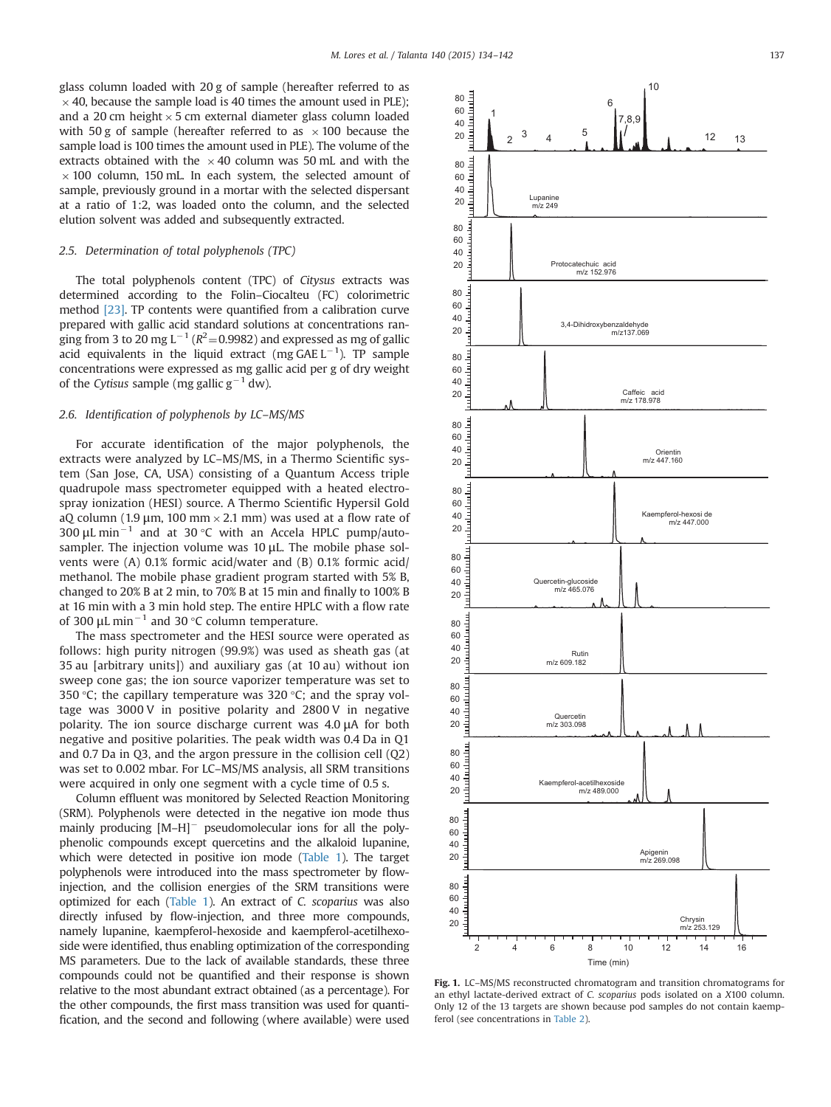<span id="page-3-0"></span>glass column loaded with 20 g of sample (hereafter referred to as  $\times$  40, because the sample load is 40 times the amount used in PLE); and a 20 cm height  $\times$  5 cm external diameter glass column loaded with 50 g of sample (hereafter referred to as  $\times$  100 because the sample load is 100 times the amount used in PLE). The volume of the extracts obtained with the  $\times$  40 column was 50 mL and with the  $\times$  100 column, 150 mL. In each system, the selected amount of sample, previously ground in a mortar with the selected dispersant at a ratio of 1:2, was loaded onto the column, and the selected elution solvent was added and subsequently extracted.

## 2.5. Determination of total polyphenols (TPC)

The total polyphenols content (TPC) of Citysus extracts was determined according to the Folin–Ciocalteu (FC) colorimetric method [\[23\]](#page-7-0). TP contents were quantified from a calibration curve prepared with gallic acid standard solutions at concentrations ranging from 3 to 20 mg L<sup>-1</sup> ( $R^2$  = 0.9982) and expressed as mg of gallic acid equivalents in the liquid extract (mg  $GAE L^{-1}$ ). TP sample concentrations were expressed as mg gallic acid per g of dry weight of the Cytisus sample (mg gallic  $g^{-1}$  dw).

### 2.6. Identification of polyphenols by LC–MS/MS

For accurate identification of the major polyphenols, the extracts were analyzed by LC–MS/MS, in a Thermo Scientific system (San Jose, CA, USA) consisting of a Quantum Access triple quadrupole mass spectrometer equipped with a heated electrospray ionization (HESI) source. A Thermo Scientific Hypersil Gold aQ column (1.9  $\mu$ m, 100 mm  $\times$  2.1 mm) was used at a flow rate of 300  $\mu$ L min<sup>-1</sup> and at 30 °C with an Accela HPLC pump/autosampler. The injection volume was 10 μL. The mobile phase solvents were (A) 0.1% formic acid/water and (B) 0.1% formic acid/ methanol. The mobile phase gradient program started with 5% B, changed to 20% B at 2 min, to 70% B at 15 min and finally to 100% B at 16 min with a 3 min hold step. The entire HPLC with a flow rate of 300  $\mu$ L min<sup>-1</sup> and 30 °C column temperature.

The mass spectrometer and the HESI source were operated as follows: high purity nitrogen (99.9%) was used as sheath gas (at 35 au [arbitrary units]) and auxiliary gas (at 10 au) without ion sweep cone gas; the ion source vaporizer temperature was set to 350 °C; the capillary temperature was 320 °C; and the spray voltage was 3000 V in positive polarity and 2800 V in negative polarity. The ion source discharge current was 4.0 μA for both negative and positive polarities. The peak width was 0.4 Da in Q1 and 0.7 Da in Q3, and the argon pressure in the collision cell (Q2) was set to 0.002 mbar. For LC–MS/MS analysis, all SRM transitions were acquired in only one segment with a cycle time of 0.5 s.

Column effluent was monitored by Selected Reaction Monitoring (SRM). Polyphenols were detected in the negative ion mode thus mainly producing  $[M-H]$  pseudomolecular ions for all the polyphenolic compounds except quercetins and the alkaloid lupanine, which were detected in positive ion mode ([Table 1\)](#page-2-0). The target polyphenols were introduced into the mass spectrometer by flowinjection, and the collision energies of the SRM transitions were optimized for each ([Table 1\)](#page-2-0). An extract of C. scoparius was also directly infused by flow-injection, and three more compounds, namely lupanine, kaempferol-hexoside and kaempferol-acetilhexoside were identified, thus enabling optimization of the corresponding MS parameters. Due to the lack of available standards, these three compounds could not be quantified and their response is shown relative to the most abundant extract obtained (as a percentage). For the other compounds, the first mass transition was used for quantification, and the second and following (where available) were used



Fig. 1. LC–MS/MS reconstructed chromatogram and transition chromatograms for an ethyl lactate-derived extract of C. scoparius pods isolated on a X100 column. Only 12 of the 13 targets are shown because pod samples do not contain kaempferol (see concentrations in [Table 2](#page-5-0)).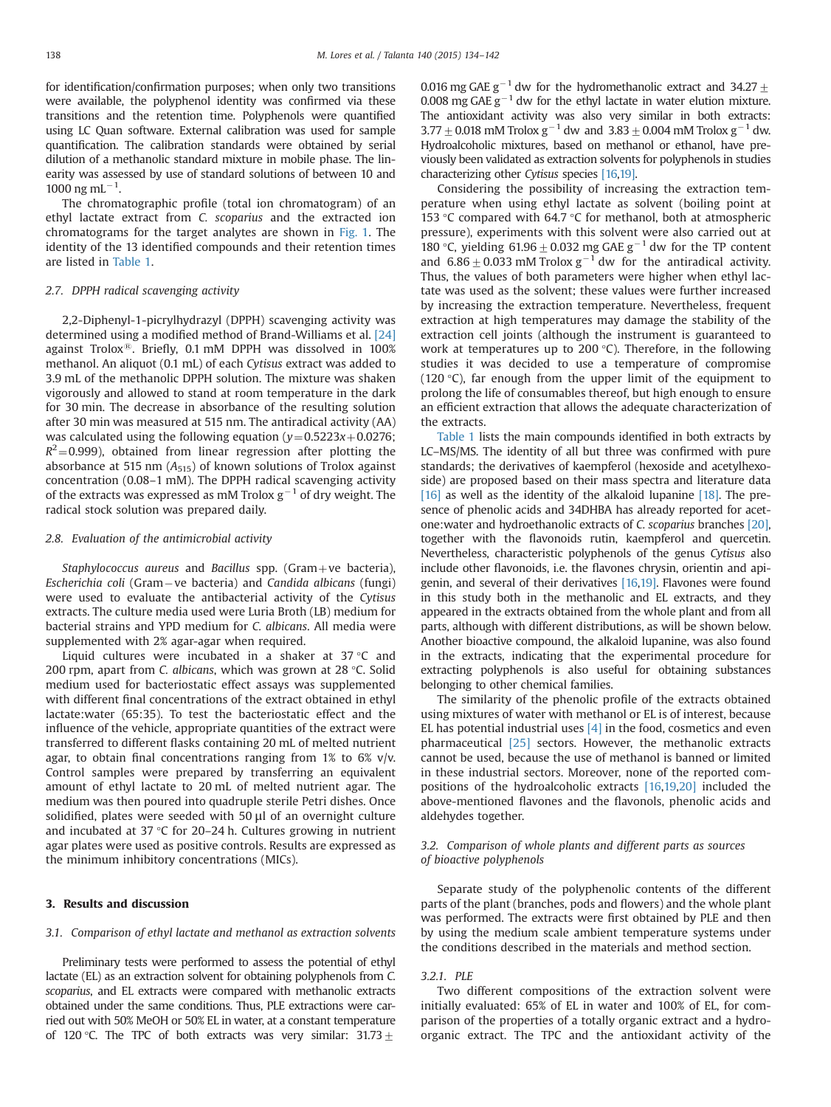for identification/confirmation purposes; when only two transitions were available, the polyphenol identity was confirmed via these transitions and the retention time. Polyphenols were quantified using LC Quan software. External calibration was used for sample quantification. The calibration standards were obtained by serial dilution of a methanolic standard mixture in mobile phase. The linearity was assessed by use of standard solutions of between 10 and  $1000 \text{ ng } mL^{-1}$ .

The chromatographic profile (total ion chromatogram) of an ethyl lactate extract from C. scoparius and the extracted ion chromatograms for the target analytes are shown in [Fig. 1](#page-3-0). The identity of the 13 identified compounds and their retention times are listed in [Table 1](#page-2-0).

#### 2.7. DPPH radical scavenging activity

2,2-Diphenyl-1-picrylhydrazyl (DPPH) scavenging activity was determined using a modified method of Brand-Williams et al. [\[24\]](#page-8-0) against Trolox<sup>®</sup>. Briefly, 0.1 mM DPPH was dissolved in 100% methanol. An aliquot (0.1 mL) of each Cytisus extract was added to 3.9 mL of the methanolic DPPH solution. The mixture was shaken vigorously and allowed to stand at room temperature in the dark for 30 min. The decrease in absorbance of the resulting solution after 30 min was measured at 515 nm. The antiradical activity (AA) was calculated using the following equation  $(y=0.5223x+0.0276;$  $R^2$  = 0.999), obtained from linear regression after plotting the absorbance at 515 nm  $(A_{515})$  of known solutions of Trolox against concentration (0.08–1 mM). The DPPH radical scavenging activity of the extracts was expressed as mM Trolox  $\rm g^{-1}$  of dry weight. The radical stock solution was prepared daily.

## 2.8. Evaluation of the antimicrobial activity

Staphylococcus aureus and Bacillus spp. (Gram+ve bacteria), Escherichia coli (Gram-ve bacteria) and Candida albicans (fungi) were used to evaluate the antibacterial activity of the Cytisus extracts. The culture media used were Luria Broth (LB) medium for bacterial strains and YPD medium for C. albicans. All media were supplemented with 2% agar-agar when required.

Liquid cultures were incubated in a shaker at 37 °C and 200 rpm, apart from C. albicans, which was grown at 28 °C. Solid medium used for bacteriostatic effect assays was supplemented with different final concentrations of the extract obtained in ethyl lactate:water (65:35). To test the bacteriostatic effect and the influence of the vehicle, appropriate quantities of the extract were transferred to different flasks containing 20 mL of melted nutrient agar, to obtain final concentrations ranging from  $1\%$  to  $6\%$  v/v. Control samples were prepared by transferring an equivalent amount of ethyl lactate to 20 mL of melted nutrient agar. The medium was then poured into quadruple sterile Petri dishes. Once solidified, plates were seeded with 50 μl of an overnight culture and incubated at 37 °C for 20-24 h. Cultures growing in nutrient agar plates were used as positive controls. Results are expressed as the minimum inhibitory concentrations (MICs).

#### 3. Results and discussion

#### 3.1. Comparison of ethyl lactate and methanol as extraction solvents

Preliminary tests were performed to assess the potential of ethyl lactate (EL) as an extraction solvent for obtaining polyphenols from C. scoparius, and EL extracts were compared with methanolic extracts obtained under the same conditions. Thus, PLE extractions were carried out with 50% MeOH or 50% EL in water, at a constant temperature of 120 °C. The TPC of both extracts was very similar:  $31.73 \pm$ 

0.016 mg GAE  $g^{-1}$  dw for the hydromethanolic extract and 34.27  $\pm$ 0.008 mg GAE  $g^{-1}$  dw for the ethyl lactate in water elution mixture. The antioxidant activity was also very similar in both extracts:  $3.77 \pm 0.018$  mM Trolox  $g^{-1}$  dw and  $3.83 \pm 0.004$  mM Trolox  $g^{-1}$  dw. Hydroalcoholic mixtures, based on methanol or ethanol, have previously been validated as extraction solvents for polyphenols in studies characterizing other Cytisus species [\[16,19\]](#page-7-0).

Considering the possibility of increasing the extraction temperature when using ethyl lactate as solvent (boiling point at 153 °C compared with 64.7 °C for methanol, both at atmospheric pressure), experiments with this solvent were also carried out at 180 °C, yielding  $61.96 \pm 0.032$  mg GAE g<sup>-1</sup> dw for the TP content and  $6.86 \pm 0.033$  mM Trolox  $g^{-1}$  dw for the antiradical activity. Thus, the values of both parameters were higher when ethyl lactate was used as the solvent; these values were further increased by increasing the extraction temperature. Nevertheless, frequent extraction at high temperatures may damage the stability of the extraction cell joints (although the instrument is guaranteed to work at temperatures up to 200 $\degree$ C). Therefore, in the following studies it was decided to use a temperature of compromise (120 $\degree$ C), far enough from the upper limit of the equipment to prolong the life of consumables thereof, but high enough to ensure an efficient extraction that allows the adequate characterization of the extracts.

[Table 1](#page-2-0) lists the main compounds identified in both extracts by LC–MS/MS. The identity of all but three was confirmed with pure standards; the derivatives of kaempferol (hexoside and acetylhexoside) are proposed based on their mass spectra and literature data [\[16\]](#page-7-0) as well as the identity of the alkaloid lupanine [\[18\]](#page-7-0). The presence of phenolic acids and 34DHBA has already reported for acetone:water and hydroethanolic extracts of C. scoparius branches [\[20\],](#page-7-0) together with the flavonoids rutin, kaempferol and quercetin. Nevertheless, characteristic polyphenols of the genus Cytisus also include other flavonoids, i.e. the flavones chrysin, orientin and api-genin, and several of their derivatives [\[16,19\]](#page-7-0). Flavones were found in this study both in the methanolic and EL extracts, and they appeared in the extracts obtained from the whole plant and from all parts, although with different distributions, as will be shown below. Another bioactive compound, the alkaloid lupanine, was also found in the extracts, indicating that the experimental procedure for extracting polyphenols is also useful for obtaining substances belonging to other chemical families.

The similarity of the phenolic profile of the extracts obtained using mixtures of water with methanol or EL is of interest, because EL has potential industrial uses  $[4]$  in the food, cosmetics and even pharmaceutical [\[25\]](#page-8-0) sectors. However, the methanolic extracts cannot be used, because the use of methanol is banned or limited in these industrial sectors. Moreover, none of the reported compositions of the hydroalcoholic extracts [\[16](#page-7-0),[19,20\]](#page-7-0) included the above-mentioned flavones and the flavonols, phenolic acids and aldehydes together.

## 3.2. Comparison of whole plants and different parts as sources of bioactive polyphenols

Separate study of the polyphenolic contents of the different parts of the plant (branches, pods and flowers) and the whole plant was performed. The extracts were first obtained by PLE and then by using the medium scale ambient temperature systems under the conditions described in the materials and method section.

#### 3.2.1. PLE

Two different compositions of the extraction solvent were initially evaluated: 65% of EL in water and 100% of EL, for comparison of the properties of a totally organic extract and a hydroorganic extract. The TPC and the antioxidant activity of the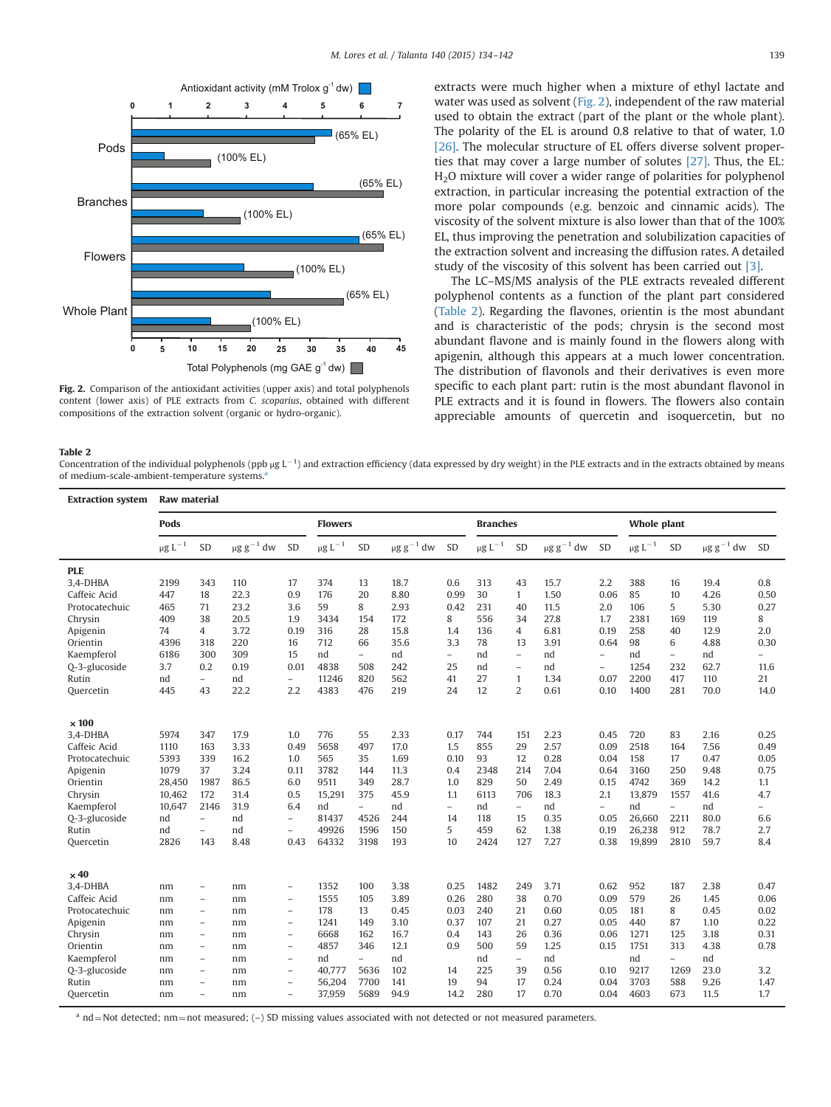<span id="page-5-0"></span>

Fig. 2. Comparison of the antioxidant activities (upper axis) and total polyphenols content (lower axis) of PLE extracts from C. scoparius, obtained with different compositions of the extraction solvent (organic or hydro-organic).

Table 2

Concentration of the individual polyphenols (ppb  $\mu$ g L<sup>-1</sup>) and extraction efficiency (data expressed by dry weight) in the PLE extracts and in the extracts obtained by means of medium-scale-ambient-temperature systems.

| <b>Extraction system</b> | Raw material      |                          |                     |                                                      |                |                          |                     |           |                   |                          |                     |                          |                   |                          |                     |           |
|--------------------------|-------------------|--------------------------|---------------------|------------------------------------------------------|----------------|--------------------------|---------------------|-----------|-------------------|--------------------------|---------------------|--------------------------|-------------------|--------------------------|---------------------|-----------|
|                          | Pods              |                          |                     | <b>Flowers</b>                                       |                |                          | <b>Branches</b>     |           |                   | <b>Whole plant</b>       |                     |                          |                   |                          |                     |           |
|                          | $\mu g \; L^{-1}$ | SD                       | $\mu g\;g^{-1}\;dw$ | <b>SD</b>                                            | $\mu g L^{-1}$ | <b>SD</b>                | $\mu g\ g^{-1}\ dw$ | <b>SD</b> | $\mu g \; L^{-1}$ | SD                       | $\mu g\ g^{-1}\ dw$ | <b>SD</b>                | $\mu g \; L^{-1}$ | <b>SD</b>                | $\mu g\ g^{-1}\ dw$ | <b>SD</b> |
| <b>PLE</b>               |                   |                          |                     |                                                      |                |                          |                     |           |                   |                          |                     |                          |                   |                          |                     |           |
| 3.4-DHBA                 | 2199              | 343                      | 110                 | 17                                                   | 374            | 13                       | 18.7                | 0.6       | 313               | 43                       | 15.7                | 2.2                      | 388               | 16                       | 19.4                | 0.8       |
| Caffeic Acid             | 447               | 18                       | 22.3                | 0.9                                                  | 176            | 20                       | 8.80                | 0.99      | 30                | $\mathbf{1}$             | 1.50                | 0.06                     | 85                | 10                       | 4.26                | 0.50      |
| Protocatechuic           | 465               | 71                       | 23.2                | 3.6                                                  | 59             | 8                        | 2.93                | 0.42      | 231               | 40                       | 11.5                | 2.0                      | 106               | 5                        | 5.30                | 0.27      |
| Chrysin                  | 409               | 38                       | 20.5                | 1.9                                                  | 3434           | 154                      | 172                 | 8         | 556               | 34                       | 27.8                | 1.7                      | 2381              | 169                      | 119                 | 8         |
| Apigenin                 | 74                | 4                        | 3.72                | 0.19                                                 | 316            | 28                       | 15.8                | 1.4       | 136               | $\overline{4}$           | 6.81                | 0.19                     | 258               | 40                       | 12.9                | 2.0       |
| Orientin                 | 4396              | 318                      | 220                 | 16                                                   | 712            | 66                       | 35.6                | 3.3       | 78                | 13                       | 3.91                | 0.64                     | 98                | 6                        | 4.88                | 0.30      |
| Kaempferol               | 6186              | 300                      | 309                 | 15                                                   | nd             | $-$                      | nd                  | $\equiv$  | nd                | $\overline{\phantom{a}}$ | nd                  | $\overline{\phantom{0}}$ | nd                | ÷.                       | nd                  |           |
| Q-3-glucoside            | 3.7               | 0.2                      | 0.19                | 0.01                                                 | 4838           | 508                      | 242                 | 25        | nd                | $\overline{\phantom{a}}$ | nd                  | $\overline{a}$           | 1254              | 232                      | 62.7                | 11.6      |
| Rutin                    | nd                | $\overline{\phantom{0}}$ | nd                  | $\overline{\phantom{0}}$                             | 11246          | 820                      | 562                 | 41        | 27                | 1                        | 1.34                | 0.07                     | 2200              | 417                      | 110                 | 21        |
| Quercetin                | 445               | 43                       | 22.2                | 2.2                                                  | 4383           | 476                      | 219                 | 24        | 12                | $\overline{2}$           | 0.61                | 0.10                     | 1400              | 281                      | 70.0                | 14.0      |
| $\times 100$             |                   |                          |                     |                                                      |                |                          |                     |           |                   |                          |                     |                          |                   |                          |                     |           |
| 3.4-DHBA                 | 5974              | 347                      | 17.9                | 1.0                                                  | 776            | 55                       | 2.33                | 0.17      | 744               | 151                      | 2.23                | 0.45                     | 720               | 83                       | 2.16                | 0.25      |
| Caffeic Acid             | 1110              | 163                      | 3.33                | 0.49                                                 | 5658           | 497                      | 17.0                | 1.5       | 855               | 29                       | 2.57                | 0.09                     | 2518              | 164                      | 7.56                | 0.49      |
| Protocatechuic           | 5393              | 339                      | 16.2                | 1.0                                                  | 565            | 35                       | 1.69                | 0.10      | 93                | 12                       | 0.28                | 0.04                     | 158               | 17                       | 0.47                | 0.05      |
| Apigenin                 | 1079              | 37                       | 3.24                | 0.11                                                 | 3782           | 144                      | 11.3                | 0.4       | 2348              | 214                      | 7.04                | 0.64                     | 3160              | 250                      | 9.48                | 0.75      |
| Orientin                 | 28,450            | 1987                     | 86.5                | 6.0                                                  | 9511           | 349                      | 28.7                | 1.0       | 829               | 50                       | 2.49                | 0.15                     | 4742              | 369                      | 14.2                | 1.1       |
| Chrysin                  | 10,462            | 172                      | 31.4                | 0.5                                                  | 15,291         | 375                      | 45.9                | 1.1       | 6113              | 706                      | 18.3                | 2.1                      | 13,879            | 1557                     | 41.6                | 4.7       |
| Kaempferol               | 10,647            | 2146                     | 31.9                | 6.4                                                  | nd             | $\equiv$                 | nd                  | $\equiv$  | nd                | $\overline{\phantom{a}}$ | nd                  | $\equiv$                 | nd                | ÷                        | nd                  | $=$       |
| Q-3-glucoside            | nd                | $\overline{a}$           | nd                  | ÷                                                    | 81437          | 4526                     | 244                 | 14        | 118               | 15                       | 0.35                | 0.05                     | 26,660            | 2211                     | 80.0                | 6.6       |
| Rutin                    | nd                | $\overline{\phantom{0}}$ | nd                  | $\overline{a}$                                       | 49926          | 1596                     | 150                 | 5         | 459               | 62                       | 1.38                | 0.19                     | 26,238            | 912                      | 78.7                | 2.7       |
| Quercetin                | 2826              | 143                      | 8.48                | 0.43                                                 | 64332          | 3198                     | 193                 | 10        | 2424              | 127                      | 7.27                | 0.38                     | 19,899            | 2810                     | 59.7                | 8.4       |
| $\times 40$              |                   |                          |                     |                                                      |                |                          |                     |           |                   |                          |                     |                          |                   |                          |                     |           |
| 3.4-DHBA                 | nm                | $\qquad \qquad -$        | nm                  | $\overline{\phantom{0}}$                             | 1352           | 100                      | 3.38                | 0.25      | 1482              | 249                      | 3.71                | 0.62                     | 952               | 187                      | 2.38                | 0.47      |
| Caffeic Acid             | nm                | $\overline{\phantom{m}}$ | nm                  | $\qquad \qquad -$                                    | 1555           | 105                      | 3.89                | 0.26      | 280               | 38                       | 0.70                | 0.09                     | 579               | 26                       | 1.45                | 0.06      |
| Protocatechuic           | nm                | $\overline{\phantom{m}}$ | nm                  | $\qquad \qquad -$                                    | 178            | 13                       | 0.45                | 0.03      | 240               | 21                       | 0.60                | 0.05                     | 181               | 8                        | 0.45                | 0.02      |
| Apigenin                 | nm                | $\qquad \qquad -$        | nm                  | $\overline{\phantom{0}}$                             | 1241           | 149                      | 3.10                | 0.37      | 107               | 21                       | 0.27                | 0.05                     | 440               | 87                       | 1.10                | 0.22      |
| Chrysin                  | nm                | $\overline{\phantom{a}}$ | nm                  | $\qquad \qquad -$                                    | 6668           | 162                      | 16.7                | 0.4       | 143               | 26                       | 0.36                | 0.06                     | 1271              | 125                      | 3.18                | 0.31      |
| Orientin                 | nm                | $\overline{\phantom{a}}$ | nm                  | $\overline{\phantom{0}}$                             | 4857           | 346                      | 12.1                | 0.9       | 500               | 59                       | 1.25                | 0.15                     | 1751              | 313                      | 4.38                | 0.78      |
| Kaempferol               |                   |                          |                     |                                                      |                | $\overline{\phantom{a}}$ | nd                  |           | nd                | $\overline{\phantom{a}}$ | nd                  |                          | nd                | $\overline{\phantom{0}}$ |                     |           |
|                          | nm                | $\overline{\phantom{m}}$ | nm                  | $\overline{\phantom{m}}$<br>$\overline{\phantom{0}}$ | nd<br>40,777   | 5636                     | 102                 | 14        | 225               | 39                       | 0.56                | 0.10                     | 9217              | 1269                     | nd<br>23.0          | 3.2       |
| Q-3-glucoside            | nm                | $\overline{\phantom{m}}$ | nm                  |                                                      |                |                          | 141                 | 19        | 94                | 17                       | 0.24                |                          | 3703              | 588                      | 9.26                | 1.47      |
| Rutin                    | nm                | $\overline{\phantom{0}}$ | nm                  | $\qquad \qquad -$                                    | 56,204         | 7700                     |                     |           |                   | 17                       |                     | 0.04                     |                   |                          |                     |           |
| Quercetin                | nm                | $\qquad \qquad -$        | nm                  | $\qquad \qquad -$                                    | 37,959         | 5689                     | 94.9                | 14.2      | 280               |                          | 0.70                | 0.04                     | 4603              | 673                      | 11.5                | 1.7       |

 $a$  nd = Not detected; nm = not measured; (-) SD missing values associated with not detected or not measured parameters.

extracts were much higher when a mixture of ethyl lactate and water was used as solvent (Fig. 2), independent of the raw material used to obtain the extract (part of the plant or the whole plant). The polarity of the EL is around 0.8 relative to that of water, 1.0 [\[26\].](#page-8-0) The molecular structure of EL offers diverse solvent properties that may cover a large number of solutes [\[27\]](#page-8-0). Thus, the EL: H2O mixture will cover a wider range of polarities for polyphenol extraction, in particular increasing the potential extraction of the more polar compounds (e.g. benzoic and cinnamic acids). The viscosity of the solvent mixture is also lower than that of the 100% EL, thus improving the penetration and solubilization capacities of the extraction solvent and increasing the diffusion rates. A detailed study of the viscosity of this solvent has been carried out [\[3\]](#page-7-0). The LC–MS/MS analysis of the PLE extracts revealed different polyphenol contents as a function of the plant part considered (Table 2). Regarding the flavones, orientin is the most abundant and is characteristic of the pods; chrysin is the second most abundant flavone and is mainly found in the flowers along with apigenin, although this appears at a much lower concentration. The distribution of flavonols and their derivatives is even more specific to each plant part: rutin is the most abundant flavonol in PLE extracts and it is found in flowers. The flowers also contain appreciable amounts of quercetin and isoquercetin, but no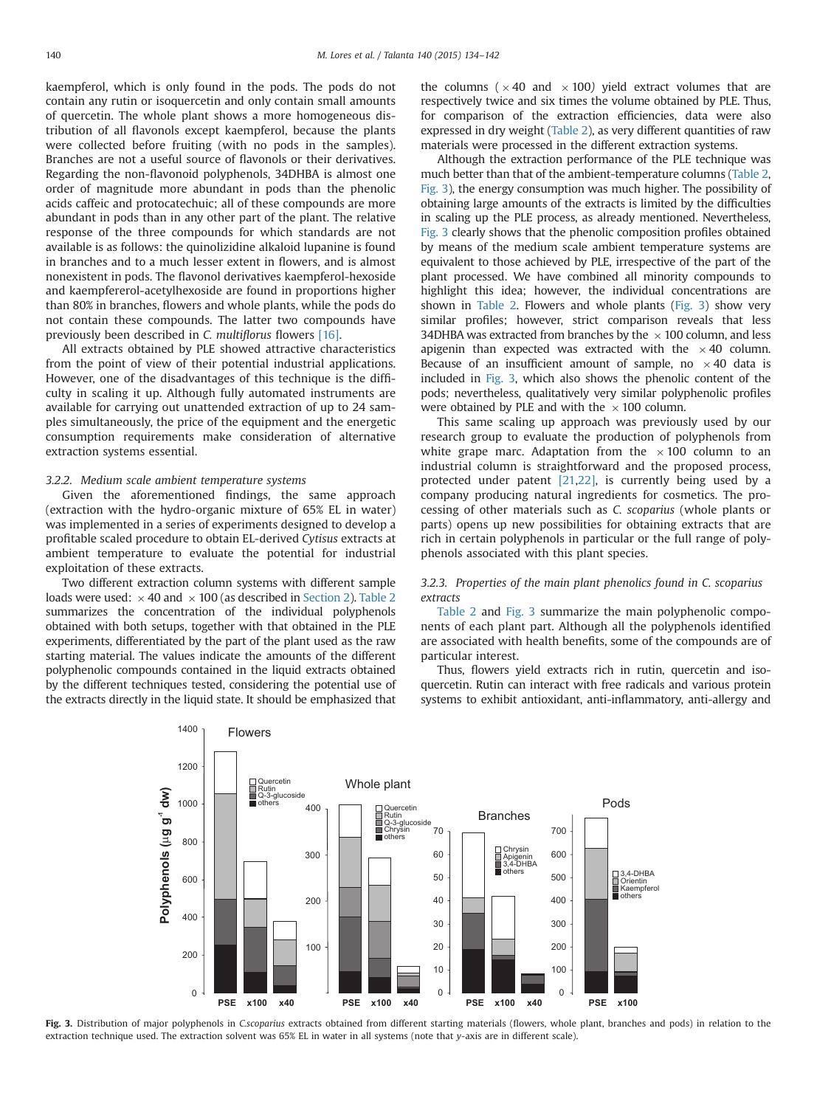kaempferol, which is only found in the pods. The pods do not contain any rutin or isoquercetin and only contain small amounts of quercetin. The whole plant shows a more homogeneous distribution of all flavonols except kaempferol, because the plants were collected before fruiting (with no pods in the samples). Branches are not a useful source of flavonols or their derivatives. Regarding the non-flavonoid polyphenols, 34DHBA is almost one order of magnitude more abundant in pods than the phenolic acids caffeic and protocatechuic; all of these compounds are more abundant in pods than in any other part of the plant. The relative response of the three compounds for which standards are not available is as follows: the quinolizidine alkaloid lupanine is found in branches and to a much lesser extent in flowers, and is almost nonexistent in pods. The flavonol derivatives kaempferol-hexoside and kaempfererol-acetylhexoside are found in proportions higher than 80% in branches, flowers and whole plants, while the pods do not contain these compounds. The latter two compounds have previously been described in C. multiflorus flowers [\[16\]](#page-7-0).

All extracts obtained by PLE showed attractive characteristics from the point of view of their potential industrial applications. However, one of the disadvantages of this technique is the difficulty in scaling it up. Although fully automated instruments are available for carrying out unattended extraction of up to 24 samples simultaneously, the price of the equipment and the energetic consumption requirements make consideration of alternative extraction systems essential.

#### 3.2.2. Medium scale ambient temperature systems

Given the aforementioned findings, the same approach (extraction with the hydro-organic mixture of 65% EL in water) was implemented in a series of experiments designed to develop a profitable scaled procedure to obtain EL-derived Cytisus extracts at ambient temperature to evaluate the potential for industrial exploitation of these extracts.

Two different extraction column systems with different sample loads were used:  $\times$  40 and  $\times$  100 (as described in [Section 2\)](#page-1-0). [Table 2](#page-5-0) summarizes the concentration of the individual polyphenols obtained with both setups, together with that obtained in the PLE experiments, differentiated by the part of the plant used as the raw starting material. The values indicate the amounts of the different polyphenolic compounds contained in the liquid extracts obtained by the different techniques tested, considering the potential use of the extracts directly in the liquid state. It should be emphasized that the columns ( $\times$  40 and  $\times$  100) yield extract volumes that are respectively twice and six times the volume obtained by PLE. Thus, for comparison of the extraction efficiencies, data were also expressed in dry weight [\(Table 2\)](#page-5-0), as very different quantities of raw materials were processed in the different extraction systems.

Although the extraction performance of the PLE technique was much better than that of the ambient-temperature columns [\(Table 2,](#page-5-0) Fig. 3), the energy consumption was much higher. The possibility of obtaining large amounts of the extracts is limited by the difficulties in scaling up the PLE process, as already mentioned. Nevertheless, Fig. 3 clearly shows that the phenolic composition profiles obtained by means of the medium scale ambient temperature systems are equivalent to those achieved by PLE, irrespective of the part of the plant processed. We have combined all minority compounds to highlight this idea; however, the individual concentrations are shown in [Table 2](#page-5-0). Flowers and whole plants (Fig. 3) show very similar profiles; however, strict comparison reveals that less 34DHBA was extracted from branches by the  $\times$  100 column, and less apigenin than expected was extracted with the  $\times$ 40 column. Because of an insufficient amount of sample, no  $\times$  40 data is included in Fig. 3, which also shows the phenolic content of the pods; nevertheless, qualitatively very similar polyphenolic profiles were obtained by PLE and with the  $\times$  100 column.

This same scaling up approach was previously used by our research group to evaluate the production of polyphenols from white grape marc. Adaptation from the  $\times 100$  column to an industrial column is straightforward and the proposed process, protected under patent [\[21,22\],](#page-7-0) is currently being used by a company producing natural ingredients for cosmetics. The processing of other materials such as C. scoparius (whole plants or parts) opens up new possibilities for obtaining extracts that are rich in certain polyphenols in particular or the full range of polyphenols associated with this plant species.

## 3.2.3. Properties of the main plant phenolics found in C. scoparius extracts

[Table 2](#page-5-0) and Fig. 3 summarize the main polyphenolic components of each plant part. Although all the polyphenols identified are associated with health benefits, some of the compounds are of particular interest.

Thus, flowers yield extracts rich in rutin, quercetin and isoquercetin. Rutin can interact with free radicals and various protein systems to exhibit antioxidant, anti-inflammatory, anti-allergy and

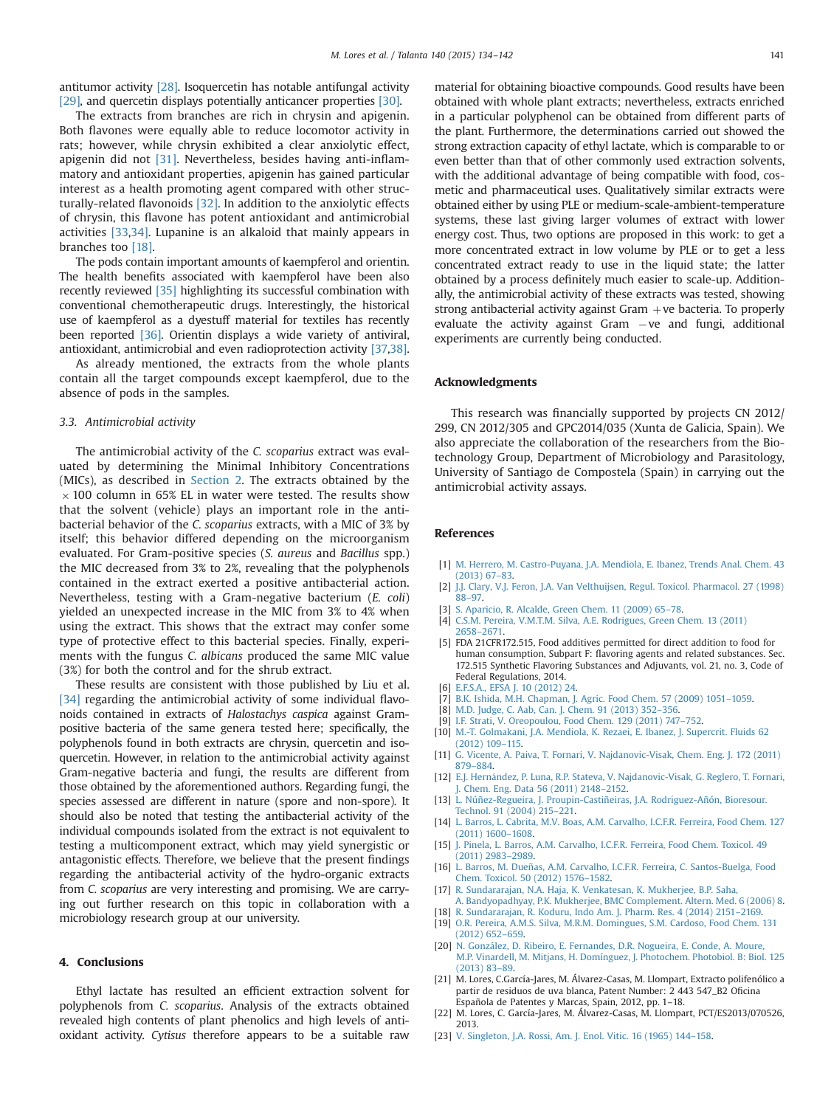<span id="page-7-0"></span>antitumor activity [\[28\]](#page-8-0). Isoquercetin has notable antifungal activity [\[29\]](#page-8-0), and quercetin displays potentially anticancer properties [\[30\]](#page-8-0).

The extracts from branches are rich in chrysin and apigenin. Both flavones were equally able to reduce locomotor activity in rats; however, while chrysin exhibited a clear anxiolytic effect, apigenin did not [\[31\].](#page-8-0) Nevertheless, besides having anti-inflammatory and antioxidant properties, apigenin has gained particular interest as a health promoting agent compared with other structurally-related flavonoids [\[32\]](#page-8-0). In addition to the anxiolytic effects of chrysin, this flavone has potent antioxidant and antimicrobial activities [\[33](#page-8-0),[34\]](#page-8-0). Lupanine is an alkaloid that mainly appears in branches too [18].

The pods contain important amounts of kaempferol and orientin. The health benefits associated with kaempferol have been also recently reviewed [\[35\]](#page-8-0) highlighting its successful combination with conventional chemotherapeutic drugs. Interestingly, the historical use of kaempferol as a dyestuff material for textiles has recently been reported [\[36\]](#page-8-0). Orientin displays a wide variety of antiviral, antioxidant, antimicrobial and even radioprotection activity [\[37,38\].](#page-8-0)

As already mentioned, the extracts from the whole plants contain all the target compounds except kaempferol, due to the absence of pods in the samples.

#### 3.3. Antimicrobial activity

The antimicrobial activity of the C. scoparius extract was evaluated by determining the Minimal Inhibitory Concentrations (MICs), as described in [Section 2](#page-1-0). The extracts obtained by the  $\times$  100 column in 65% EL in water were tested. The results show that the solvent (vehicle) plays an important role in the antibacterial behavior of the C. scoparius extracts, with a MIC of 3% by itself; this behavior differed depending on the microorganism evaluated. For Gram-positive species (S. aureus and Bacillus spp.) the MIC decreased from 3% to 2%, revealing that the polyphenols contained in the extract exerted a positive antibacterial action. Nevertheless, testing with a Gram-negative bacterium (E. coli) yielded an unexpected increase in the MIC from 3% to 4% when using the extract. This shows that the extract may confer some type of protective effect to this bacterial species. Finally, experiments with the fungus C. albicans produced the same MIC value (3%) for both the control and for the shrub extract.

These results are consistent with those published by Liu et al. [\[34\]](#page-8-0) regarding the antimicrobial activity of some individual flavonoids contained in extracts of Halostachys caspica against Grampositive bacteria of the same genera tested here; specifically, the polyphenols found in both extracts are chrysin, quercetin and isoquercetin. However, in relation to the antimicrobial activity against Gram-negative bacteria and fungi, the results are different from those obtained by the aforementioned authors. Regarding fungi, the species assessed are different in nature (spore and non-spore). It should also be noted that testing the antibacterial activity of the individual compounds isolated from the extract is not equivalent to testing a multicomponent extract, which may yield synergistic or antagonistic effects. Therefore, we believe that the present findings regarding the antibacterial activity of the hydro-organic extracts from C. scoparius are very interesting and promising. We are carrying out further research on this topic in collaboration with a microbiology research group at our university.

#### 4. Conclusions

Ethyl lactate has resulted an efficient extraction solvent for polyphenols from C. scoparius. Analysis of the extracts obtained revealed high contents of plant phenolics and high levels of antioxidant activity. Cytisus therefore appears to be a suitable raw material for obtaining bioactive compounds. Good results have been obtained with whole plant extracts; nevertheless, extracts enriched in a particular polyphenol can be obtained from different parts of the plant. Furthermore, the determinations carried out showed the strong extraction capacity of ethyl lactate, which is comparable to or even better than that of other commonly used extraction solvents, with the additional advantage of being compatible with food, cosmetic and pharmaceutical uses. Qualitatively similar extracts were obtained either by using PLE or medium-scale-ambient-temperature systems, these last giving larger volumes of extract with lower energy cost. Thus, two options are proposed in this work: to get a more concentrated extract in low volume by PLE or to get a less concentrated extract ready to use in the liquid state; the latter obtained by a process definitely much easier to scale-up. Additionally, the antimicrobial activity of these extracts was tested, showing strong antibacterial activity against Gram  $+$  ve bacteria. To properly evaluate the activity against Gram –ve and fungi, additional experiments are currently being conducted.

#### Acknowledgments

This research was financially supported by projects CN 2012/ 299, CN 2012/305 and GPC2014/035 (Xunta de Galicia, Spain). We also appreciate the collaboration of the researchers from the Biotechnology Group, Department of Microbiology and Parasitology, University of Santiago de Compostela (Spain) in carrying out the antimicrobial activity assays.

#### References

- [1] [M. Herrero, M. Castro-Puyana, J.A. Mendiola, E. Ibanez, Trends Anal. Chem. 43](http://refhub.elsevier.com/S0039-9140(15)00187-3/sbref1) [\(2013\) 67](http://refhub.elsevier.com/S0039-9140(15)00187-3/sbref1)–83.
- [2] [J.J. Clary, V.J. Feron, J.A. Van Velthuijsen, Regul. Toxicol. Pharmacol. 27 \(1998\)](http://refhub.elsevier.com/S0039-9140(15)00187-3/sbref2) [88](http://refhub.elsevier.com/S0039-9140(15)00187-3/sbref2)–[97.](http://refhub.elsevier.com/S0039-9140(15)00187-3/sbref2)
- [3] [S. Aparicio, R. Alcalde, Green Chem. 11 \(2009\) 65](http://refhub.elsevier.com/S0039-9140(15)00187-3/sbref3)–78.
- [4] [C.S.M. Pereira, V.M.T.M. Silva, A.E. Rodrigues, Green Chem. 13 \(2011\)](http://refhub.elsevier.com/S0039-9140(15)00187-3/sbref4) [2658](http://refhub.elsevier.com/S0039-9140(15)00187-3/sbref4)–[2671.](http://refhub.elsevier.com/S0039-9140(15)00187-3/sbref4)
- [5] FDA 21CFR172.515, Food additives permitted for direct addition to food for human consumption, Subpart F: flavoring agents and related substances. Sec. 172.515 Synthetic Flavoring Substances and Adjuvants, vol. 21, no. 3, Code of Federal Regulations, 2014.
- [6] [E.F.S.A., EFSA J. 10 \(2012\) 24.](http://refhub.elsevier.com/S0039-9140(15)00187-3/sbref5)
- [7] [B.K. Ishida, M.H. Chapman, J. Agric. Food Chem. 57 \(2009\) 1051](http://refhub.elsevier.com/S0039-9140(15)00187-3/sbref6)–1059.
- [8] [M.D. Judge, C. Aab, Can. J. Chem. 91 \(2013\) 352](http://refhub.elsevier.com/S0039-9140(15)00187-3/sbref7)–356. [9] [I.F. Strati, V. Oreopoulou, Food Chem. 129 \(2011\) 747](http://refhub.elsevier.com/S0039-9140(15)00187-3/sbref8)–752.
- [10] [M.-T. Golmakani, J.A. Mendiola, K. Rezaei, E. Ibanez, J. Supercrit. Fluids 62](http://refhub.elsevier.com/S0039-9140(15)00187-3/sbref9) [\(2012\) 109](http://refhub.elsevier.com/S0039-9140(15)00187-3/sbref9)–115.
- [11] [G. Vicente, A. Paiva, T. Fornari, V. Najdanovic-Visak, Chem. Eng. J. 172 \(2011\)](http://refhub.elsevier.com/S0039-9140(15)00187-3/sbref10) [879](http://refhub.elsevier.com/S0039-9140(15)00187-3/sbref10)–[884.](http://refhub.elsevier.com/S0039-9140(15)00187-3/sbref10)
- [12] E.J. Herná[ndez, P. Luna, R.P. Stateva, V. Najdanovic-Visak, G. Reglero, T. Fornari,](http://refhub.elsevier.com/S0039-9140(15)00187-3/sbref11) Chem. Eng. Data 56 (2011) 2148-2152.
- [13] [L. Núñez-Regueira, J. Proup](http://refhub.elsevier.com/S0039-9140(15)00187-3/sbref12)ín-Castiñeiras, J.A. Rodríguez-Añón, Bioresour. [Technol. 91 \(2004\) 215](http://refhub.elsevier.com/S0039-9140(15)00187-3/sbref12)–221.
- [14] [L. Barros, L. Cabrita, M.V. Boas, A.M. Carvalho, I.C.F.R. Ferreira, Food Chem. 127](http://refhub.elsevier.com/S0039-9140(15)00187-3/sbref13) [\(2011\) 1600](http://refhub.elsevier.com/S0039-9140(15)00187-3/sbref13)–1608.
- [15] [J. Pinela, L. Barros, A.M. Carvalho, I.C.F.R. Ferreira, Food Chem. Toxicol. 49](http://refhub.elsevier.com/S0039-9140(15)00187-3/sbref14) [\(2011\) 2983](http://refhub.elsevier.com/S0039-9140(15)00187-3/sbref14)–2989.
- [16] [L. Barros, M. Dueñas, A.M. Carvalho, I.C.F.R. Ferreira, C. Santos-Buelga, Food](http://refhub.elsevier.com/S0039-9140(15)00187-3/sbref15) [Chem. Toxicol. 50 \(2012\) 1576](http://refhub.elsevier.com/S0039-9140(15)00187-3/sbref15)–1582.
- [17] [R. Sundararajan, N.A. Haja, K. Venkatesan, K. Mukherjee, B.P. Saha,](http://refhub.elsevier.com/S0039-9140(15)00187-3/sbref16)
- [A. Bandyopadhyay, P.K. Mukherjee, BMC Complement. Altern. Med. 6 \(2006\) 8.](http://refhub.elsevier.com/S0039-9140(15)00187-3/sbref16) [18] [R. Sundararajan, R. Koduru, Indo Am. J. Pharm. Res. 4 \(2014\) 2151](http://refhub.elsevier.com/S0039-9140(15)00187-3/sbref17)–2169.
- [19] [O.R. Pereira, A.M.S. Silva, M.R.M. Domingues, S.M. Cardoso, Food Chem. 131](http://refhub.elsevier.com/S0039-9140(15)00187-3/sbref18) [\(2012\) 652](http://refhub.elsevier.com/S0039-9140(15)00187-3/sbref18)–659.
- [20] [N. González, D. Ribeiro, E. Fernandes, D.R. Nogueira, E. Conde, A. Moure,](http://refhub.elsevier.com/S0039-9140(15)00187-3/sbref19) [M.P. Vinardell, M. Mitjans, H. Domínguez, J. Photochem. Photobiol. B: Biol. 125](http://refhub.elsevier.com/S0039-9140(15)00187-3/sbref19) [\(2013\) 83](http://refhub.elsevier.com/S0039-9140(15)00187-3/sbref19)–89.
- [21] M. Lores, C.García-Jares, M. Álvarez-Casas, M. Llompart, Extracto polifenólico a partir de residuos de uva blanca, Patent Number: 2 443 547\_B2 Oficina Española de Patentes y Marcas, Spain, 2012, pp. 1–18.
- [22] M. Lores, C. García-Jares, M. Álvarez-Casas, M. Llompart, PCT/ES2013/070526, 2013.
- [23] [V. Singleton, J.A. Rossi, Am. J. Enol. Vitic. 16 \(1965\) 144](http://refhub.elsevier.com/S0039-9140(15)00187-3/sbref20)–158.